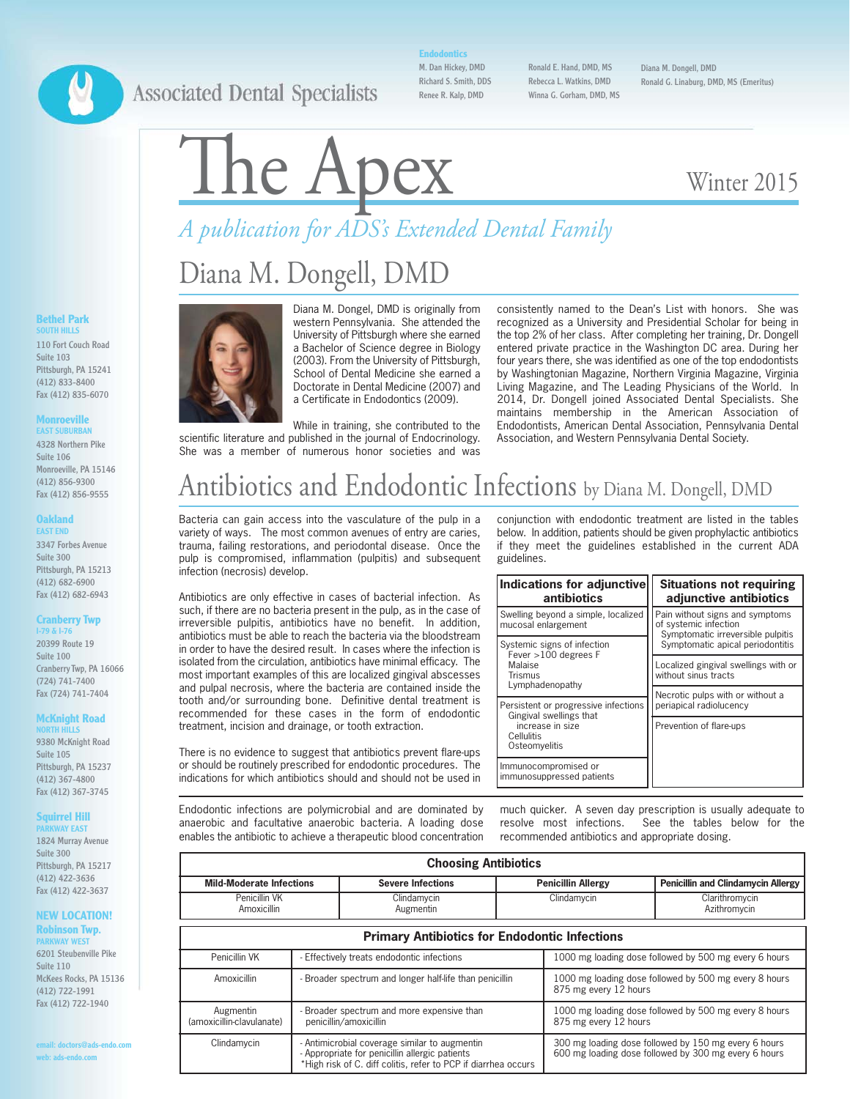### **Associated Dental Specialists**

### **Endodontics**

M. Dan Hickey, DMD Richard S. Smith, DDS Renee R. Kalp, DMD

Ronald E. Hand, DMD, MS Rebecca L. Watkins, DMD Winna G. Gorham, DMD, MS

Diana M. Dongell, DMD Ronald G. Linaburg, DMD, MS (Emeritus)

# The Apex Winter 2015

# *A publication for ADS's Extended Dental Family*

### Diana M. Dongell, DMD



Diana M. Dongel, DMD is originally from western Pennsylvania. She attended the University of Pittsburgh where she earned a Bachelor of Science degree in Biology (2003). From the University of Pittsburgh, School of Dental Medicine she earned a Doctorate in Dental Medicine (2007) and a Certificate in Endodontics (2009).

While in training, she contributed to the scientific literature and published in the journal of Endocrinology. She was a member of numerous honor societies and was consistently named to the Dean's List with honors. She was recognized as a University and Presidential Scholar for being in the top 2% of her class. After completing her training, Dr. Dongell entered private practice in the Washington DC area. During her four years there, she was identified as one of the top endodontists by Washingtonian Magazine, Northern Virginia Magazine, Virginia Living Magazine, and The Leading Physicians of the World. In 2014, Dr. Dongell joined Associated Dental Specialists. She maintains membership in the American Association of Endodontists, American Dental Association, Pennsylvania Dental Association, and Western Pennsylvania Dental Society.

### Antibiotics and Endodontic Infections by Diana M. Dongell, DMD

Bacteria can gain access into the vasculature of the pulp in a variety of ways. The most common avenues of entry are caries, trauma, failing restorations, and periodontal disease. Once the pulp is compromised, inflammation (pulpitis) and subsequent infection (necrosis) develop.

Antibiotics are only effective in cases of bacterial infection. As such, if there are no bacteria present in the pulp, as in the case of irreversible pulpitis, antibiotics have no benefit. In addition, antibiotics must be able to reach the bacteria via the bloodstream in order to have the desired result. In cases where the infection is isolated from the circulation, antibiotics have minimal efficacy. The most important examples of this are localized gingival abscesses and pulpal necrosis, where the bacteria are contained inside the tooth and/or surrounding bone. Definitive dental treatment is recommended for these cases in the form of endodontic treatment, incision and drainage, or tooth extraction.

There is no evidence to suggest that antibiotics prevent flare-ups or should be routinely prescribed for endodontic procedures. The indications for which antibiotics should and should not be used in

Endodontic infections are polymicrobial and are dominated by anaerobic and facultative anaerobic bacteria. A loading dose enables the antibiotic to achieve a therapeutic blood concentration conjunction with endodontic treatment are listed in the tables below. In addition, patients should be given prophylactic antibiotics if they meet the guidelines established in the current ADA guidelines.

| Indications for adjunctive<br>antibiotics                                         | <b>Situations not requiring</b><br>adjunctive antibiotics                                                                         |  |
|-----------------------------------------------------------------------------------|-----------------------------------------------------------------------------------------------------------------------------------|--|
| Swelling beyond a simple, localized<br>mucosal enlargement                        | Pain without signs and symptoms<br>of systemic infection<br>Symptomatic irreversible pulpitis<br>Symptomatic apical periodontitis |  |
| Systemic signs of infection<br>Fever $>100$ degrees F                             |                                                                                                                                   |  |
| Malaise<br>Trismus<br>Lymphadenopathy                                             | Localized gingival swellings with or<br>without sinus tracts                                                                      |  |
| Persistent or progressive infections                                              | Necrotic pulps with or without a<br>periapical radiolucency<br>Prevention of flare-ups                                            |  |
| Gingival swellings that<br>increase in size<br><b>Cellulitis</b><br>Osteomyelitis |                                                                                                                                   |  |
| Immunocompromised or<br>immunosuppressed patients                                 |                                                                                                                                   |  |

much quicker. A seven day prescription is usually adequate to resolve most infections. See the tables below for the recommended antibiotics and appropriate dosing.

| <b>Choosing Antibiotics</b>                          |                                                                                                                                                                 |                          |                                                                                                              |                           |                                                       |  |
|------------------------------------------------------|-----------------------------------------------------------------------------------------------------------------------------------------------------------------|--------------------------|--------------------------------------------------------------------------------------------------------------|---------------------------|-------------------------------------------------------|--|
| <b>Mild-Moderate Infections</b>                      |                                                                                                                                                                 | <b>Severe Infections</b> |                                                                                                              | <b>Penicillin Allergy</b> | <b>Penicillin and Clindamycin Allergy</b>             |  |
| Penicillin VK<br><b>Amoxicillin</b>                  |                                                                                                                                                                 | Clindamycin<br>Augmentin |                                                                                                              | Clindamycin               | Clarithromycin<br>Azithromycin                        |  |
| <b>Primary Antibiotics for Endodontic Infections</b> |                                                                                                                                                                 |                          |                                                                                                              |                           |                                                       |  |
| Penicillin VK                                        | - Effectively treats endodontic infections                                                                                                                      |                          | 1000 mg loading dose followed by 500 mg every 6 hours                                                        |                           |                                                       |  |
| Amoxicillin                                          | - Broader spectrum and longer half-life than penicillin                                                                                                         |                          |                                                                                                              | 875 mg every 12 hours     | 1000 mg loading dose followed by 500 mg every 8 hours |  |
| Augmentin<br>(amoxicillin-clavulanate)               | - Broader spectrum and more expensive than<br>penicillin/amoxicillin                                                                                            |                          | 1000 mg loading dose followed by 500 mg every 8 hours<br>875 mg every 12 hours                               |                           |                                                       |  |
| Clindamycin                                          | Antimicrobial coverage similar to augmentin<br>- Appropriate for penicillin allergic patients<br>*High risk of C. diff colitis, refer to PCP if diarrhea occurs |                          | 300 mg loading dose followed by 150 mg every 6 hours<br>600 mg loading dose followed by 300 mg every 6 hours |                           |                                                       |  |

#### **Bethel Park SOUTH HILLS**

110 Fort Couch Road Suite 103 Pittsburgh, PA 15241 (412) 833-8400 Fax (412) 835-6070

#### **Monroeville EAST SUBURBAN**

4328 Northern Pike Suite 106 Monroeville, PA 15146 (412) 856-9300 Fax (412) 856-9555

#### **Oakland EAST END**

3347 Forbes Avenue Suite 300 Pittsburgh, PA 15213 (412) 682-6900 Fax (412) 682-6943

#### **Cranberry Twp**

**I-79 & I-76** 20399 Route 19 Suite 100 Cranberry Twp, PA 16066 (724) 741-7400 Fax (724) 741-7404

#### **McKnight Road NORTH HILLS**

9380 McKnight Road Suite 105 Pittsburgh, PA 15237 (412) 367-4800 Fax (412) 367-3745

#### **Squirrel Hill**

**KWAY EAST** 1824 Murray Avenue Suite 300 Pittsburgh, PA 15217 (412) 422-3636 Fax (412) 422-3637

#### **NEW LOCATION! Robinson Twp.**

**RKWAY WEST** 6201 Steubenville Pike Suite 110 McKees Rocks, PA 15136 (412) 722-1991 Fax (412) 722-1940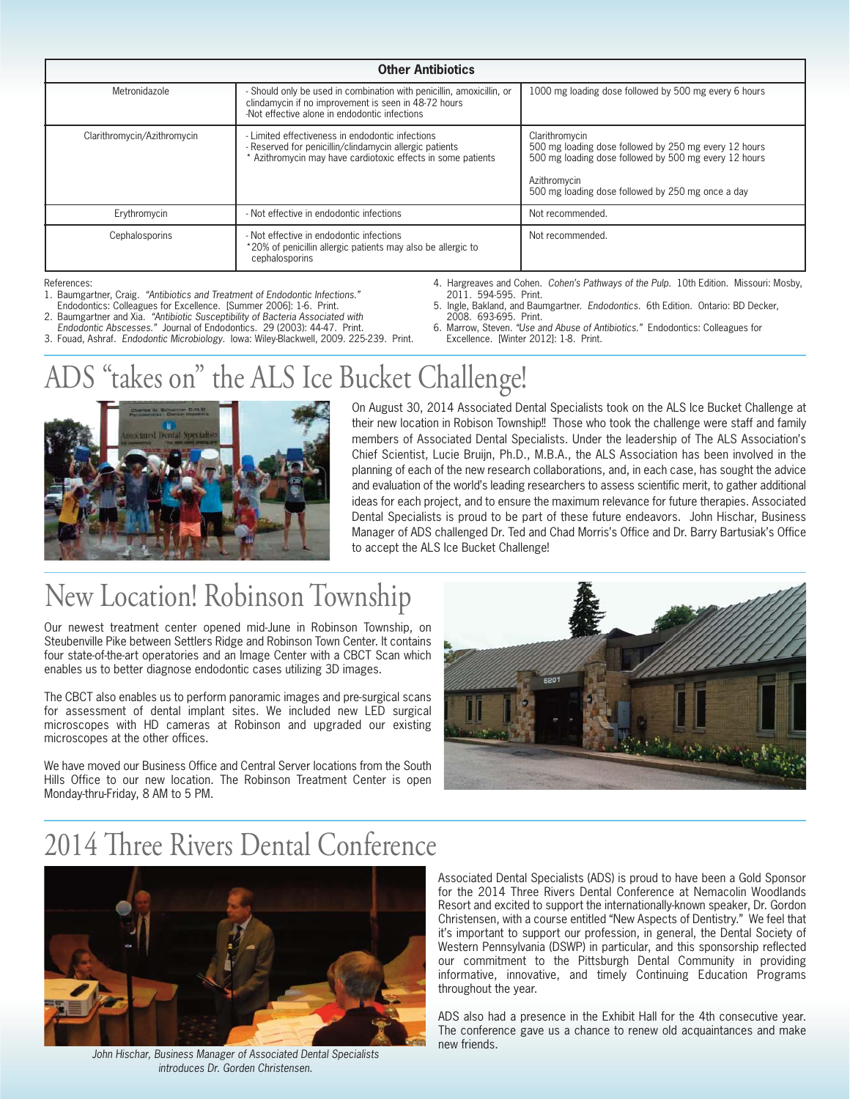| <b>Other Antibiotics</b>    |                                                                                                                                                                                |                                                                                                                                                                                                       |  |  |
|-----------------------------|--------------------------------------------------------------------------------------------------------------------------------------------------------------------------------|-------------------------------------------------------------------------------------------------------------------------------------------------------------------------------------------------------|--|--|
| Metronidazole               | - Should only be used in combination with penicillin, amoxicillin, or<br>clindamycin if no improvement is seen in 48-72 hours<br>-Not effective alone in endodontic infections | 1000 mg loading dose followed by 500 mg every 6 hours                                                                                                                                                 |  |  |
| Clarithromycin/Azithromycin | Limited effectiveness in endodontic infections<br>- Reserved for penicillin/clindamycin allergic patients<br>Azithromycin may have cardiotoxic effects in some patients        | Clarithromycin<br>500 mg loading dose followed by 250 mg every 12 hours<br>500 mg loading dose followed by 500 mg every 12 hours<br>Azithromycin<br>500 mg loading dose followed by 250 mg once a day |  |  |
| Erythromycin                | - Not effective in endodontic infections                                                                                                                                       | Not recommended.                                                                                                                                                                                      |  |  |
| Cephalosporins              | - Not effective in endodontic infections<br>*20% of penicillin allergic patients may also be allergic to<br>cephalosporins                                                     | Not recommended.                                                                                                                                                                                      |  |  |

References:

- 1. Baumgartner, Craig. "Antibiotics and Treatment of Endodontic Infections." Endodontics: Colleagues for Excellence. [Summer 2006]: 1-6. Print.
- 
- 2. Baumgartner and Xia. "Antibiotic Susceptibility of Bacteria Associated with Endodontic Abscesses." Journal of Endodontics. 29 (2003): 44-47. Print.
- 3. Fouad, Ashraf. Endodontic Microbiology. Iowa: Wiley-Blackwell, 2009. 225-239. Print.

4. Hargreaves and Cohen. Cohen's Pathways of the Pulp. 10th Edition. Missouri: Mosby, 2011. 594-595. Print.

- 5. Ingle, Bakland, and Baumgartner. Endodontics. 6th Edition. Ontario: BD Decker, 2008. 693-695. Print.
- 6. Marrow, Steven. "Use and Abuse of Antibiotics." Endodontics: Colleagues for Excellence. [Winter 2012]: 1-8. Print.

# ADS "takes on" the ALS Ice Bucket Challenge!



On August 30, 2014 Associated Dental Specialists took on the ALS Ice Bucket Challenge at their new location in Robison Township!! Those who took the challenge were staff and family members of Associated Dental Specialists. Under the leadership of The ALS Association's Chief Scientist, Lucie Bruijn, Ph.D., M.B.A., the ALS Association has been involved in the planning of each of the new research collaborations, and, in each case, has sought the advice and evaluation of the world's leading researchers to assess scientific merit, to gather additional ideas for each project, and to ensure the maximum relevance for future therapies. Associated Dental Specialists is proud to be part of these future endeavors. John Hischar, Business Manager of ADS challenged Dr. Ted and Chad Morris's Office and Dr. Barry Bartusiak's Office to accept the ALS Ice Bucket Challenge!

Our newest treatment center opened mid-June in Robinson Township, on Steubenville Pike between Settlers Ridge and Robinson Town Center. It contains four state-of-the-art operatories and an Image Center with a CBCT Scan which enables us to better diagnose endodontic cases utilizing 3D images.

The CBCT also enables us to perform panoramic images and pre-surgical scans for assessment of dental implant sites. We included new LED surgical microscopes with HD cameras at Robinson and upgraded our existing microscopes at the other offices.

We have moved our Business Office and Central Server locations from the South Hills Office to our new location. The Robinson Treatment Center is open Monday-thru-Friday, 8 AM to 5 PM.





John Hischar, Business Manager of Associated Dental Specialists introduces Dr. Gorden Christensen.

Associated Dental Specialists (ADS) is proud to have been a Gold Sponsor for the 2014 Three Rivers Dental Conference at Nemacolin Woodlands Resort and excited to support the internationally-known speaker, Dr. Gordon Christensen, with a course entitled "New Aspects of Dentistry." We feel that it's important to support our profession, in general, the Dental Society of Western Pennsylvania (DSWP) in particular, and this sponsorship reflected our commitment to the Pittsburgh Dental Community in providing informative, innovative, and timely Continuing Education Programs throughout the year.

ADS also had a presence in the Exhibit Hall for the 4th consecutive year. The conference gave us a chance to renew old acquaintances and make new friends.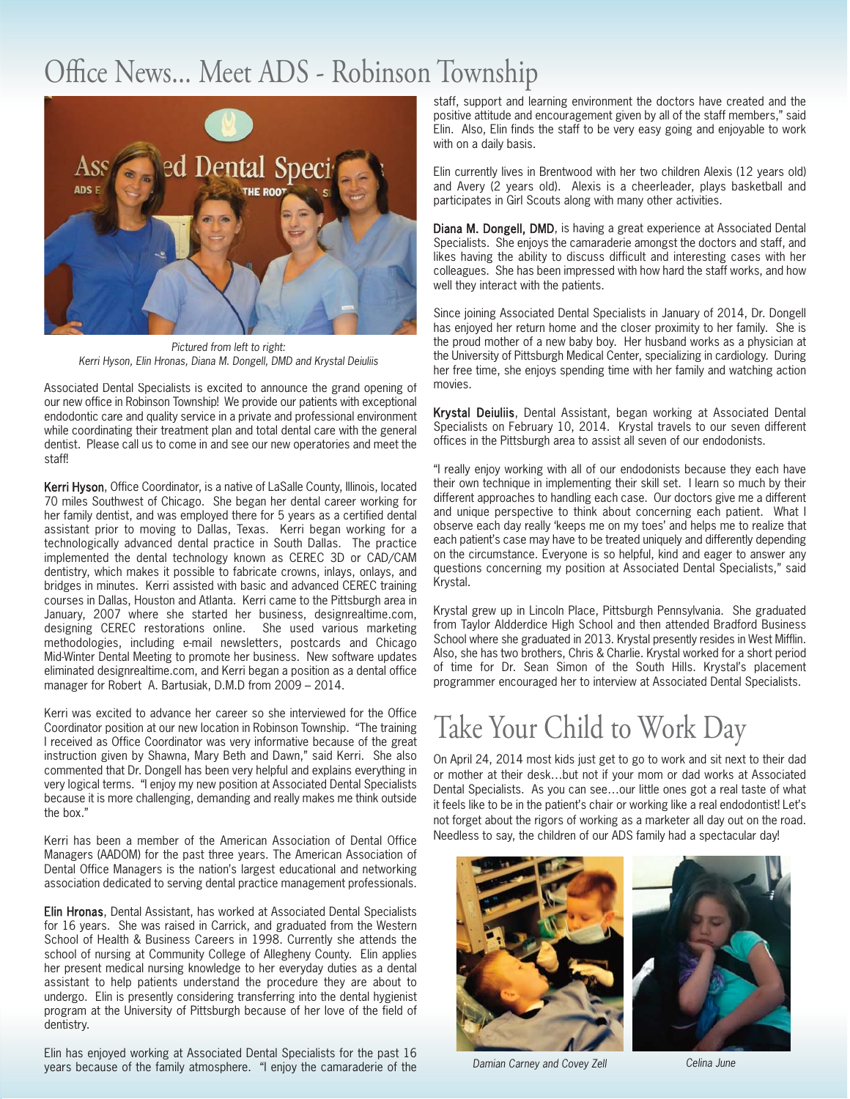### Office News... Meet ADS - Robinson Township



Pictured from left to right: Kerri Hyson, Elin Hronas, Diana M. Dongell, DMD and Krystal Deiuliis

Associated Dental Specialists is excited to announce the grand opening of our new office in Robinson Township! We provide our patients with exceptional endodontic care and quality service in a private and professional environment while coordinating their treatment plan and total dental care with the general dentist. Please call us to come in and see our new operatories and meet the staff!

Kerri Hyson, Office Coordinator, is a native of LaSalle County, Illinois, located 70 miles Southwest of Chicago. She began her dental career working for her family dentist, and was employed there for 5 years as a certified dental assistant prior to moving to Dallas, Texas. Kerri began working for a technologically advanced dental practice in South Dallas. The practice implemented the dental technology known as CEREC 3D or CAD/CAM dentistry, which makes it possible to fabricate crowns, inlays, onlays, and bridges in minutes. Kerri assisted with basic and advanced CEREC training courses in Dallas, Houston and Atlanta. Kerri came to the Pittsburgh area in January, 2007 where she started her business, designrealtime.com, designing CEREC restorations online. She used various marketing methodologies, including e-mail newsletters, postcards and Chicago Mid-Winter Dental Meeting to promote her business. New software updates eliminated designrealtime.com, and Kerri began a position as a dental office manager for Robert A. Bartusiak, D.M.D from 2009 – 2014.

Kerri was excited to advance her career so she interviewed for the Office Coordinator position at our new location in Robinson Township. "The training I received as Office Coordinator was very informative because of the great instruction given by Shawna, Mary Beth and Dawn," said Kerri. She also commented that Dr. Dongell has been very helpful and explains everything in very logical terms. "I enjoy my new position at Associated Dental Specialists because it is more challenging, demanding and really makes me think outside the box."

Kerri has been a member of the American Association of Dental Office Managers (AADOM) for the past three years. The American Association of Dental Office Managers is the nation's largest educational and networking association dedicated to serving dental practice management professionals.

Elin Hronas, Dental Assistant, has worked at Associated Dental Specialists for 16 years. She was raised in Carrick, and graduated from the Western School of Health & Business Careers in 1998. Currently she attends the school of nursing at Community College of Allegheny County. Elin applies her present medical nursing knowledge to her everyday duties as a dental assistant to help patients understand the procedure they are about to undergo. Elin is presently considering transferring into the dental hygienist program at the University of Pittsburgh because of her love of the field of dentistry.

Elin has enjoyed working at Associated Dental Specialists for the past 16 years because of the family atmosphere. "I enjoy the camaraderie of the staff, support and learning environment the doctors have created and the positive attitude and encouragement given by all of the staff members," said Elin. Also, Elin finds the staff to be very easy going and enjoyable to work with on a daily basis.

Elin currently lives in Brentwood with her two children Alexis (12 years old) and Avery (2 years old). Alexis is a cheerleader, plays basketball and participates in Girl Scouts along with many other activities.

Diana M. Dongell, DMD, is having a great experience at Associated Dental Specialists. She enjoys the camaraderie amongst the doctors and staff, and likes having the ability to discuss difficult and interesting cases with her colleagues. She has been impressed with how hard the staff works, and how well they interact with the patients.

Since joining Associated Dental Specialists in January of 2014, Dr. Dongell has enjoyed her return home and the closer proximity to her family. She is the proud mother of a new baby boy. Her husband works as a physician at the University of Pittsburgh Medical Center, specializing in cardiology. During her free time, she enjoys spending time with her family and watching action movies.

Krystal Deiuliis, Dental Assistant, began working at Associated Dental Specialists on February 10, 2014. Krystal travels to our seven different offices in the Pittsburgh area to assist all seven of our endodonists.

"I really enjoy working with all of our endodonists because they each have their own technique in implementing their skill set. I learn so much by their different approaches to handling each case. Our doctors give me a different and unique perspective to think about concerning each patient. What I observe each day really 'keeps me on my toes' and helps me to realize that each patient's case may have to be treated uniquely and differently depending on the circumstance. Everyone is so helpful, kind and eager to answer any questions concerning my position at Associated Dental Specialists," said Krystal.

Krystal grew up in Lincoln Place, Pittsburgh Pennsylvania. She graduated from Taylor Aldderdice High School and then attended Bradford Business School where she graduated in 2013. Krystal presently resides in West Mifflin. Also, she has two brothers, Chris & Charlie. Krystal worked for a short period of time for Dr. Sean Simon of the South Hills. Krystal's placement programmer encouraged her to interview at Associated Dental Specialists.

## Take Your Child to Work Day

On April 24, 2014 most kids just get to go to work and sit next to their dad or mother at their desk…but not if your mom or dad works at Associated Dental Specialists. As you can see…our little ones got a real taste of what it feels like to be in the patient's chair or working like a real endodontist! Let's not forget about the rigors of working as a marketer all day out on the road. Needless to say, the children of our ADS family had a spectacular day!



Damian Carney and Covey Zell Celina June